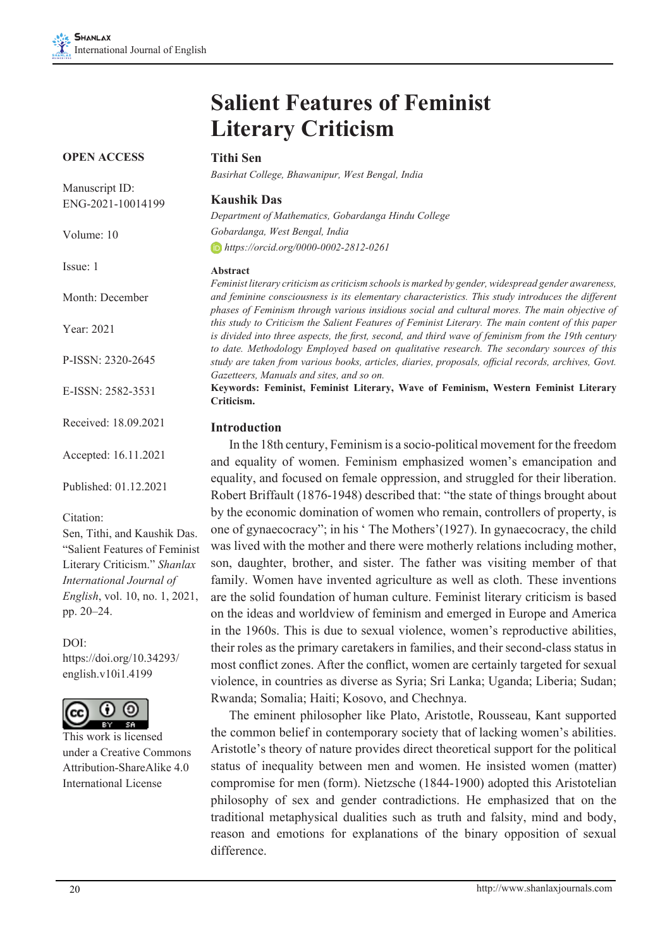Accepted: 16.11.2021

Published: 01.12.2021

Sen, Tithi, and Kaushik Das. "Salient Features of Feminist Literary Criticism." *Shanlax International Journal of English*, vol. 10, no. 1, 2021,

https://doi.org/10.34293/ english.v10i1.4199

This work is licensed under a Creative Commons Attribution-ShareAlike 4.0 International License

Citation:

pp. 20–24.

DOI:

# **Salient Features of Feminist Literary Criticism**

| <b>OPEN ACCESS</b>                  | <b>Tithi Sen</b>                                                                                                                                                                                                                                                                                         |
|-------------------------------------|----------------------------------------------------------------------------------------------------------------------------------------------------------------------------------------------------------------------------------------------------------------------------------------------------------|
|                                     | Basirhat College, Bhawanipur, West Bengal, India                                                                                                                                                                                                                                                         |
| Manuscript ID:<br>ENG-2021-10014199 | <b>Kaushik Das</b>                                                                                                                                                                                                                                                                                       |
|                                     | Department of Mathematics, Gobardanga Hindu College                                                                                                                                                                                                                                                      |
| Volume: 10                          | Gobardanga, West Bengal, India                                                                                                                                                                                                                                                                           |
|                                     | $\Box$ https://orcid.org/0000-0002-2812-0261                                                                                                                                                                                                                                                             |
| Issue: 1                            | Abstract                                                                                                                                                                                                                                                                                                 |
| Month: December                     | Feminist literary criticism as criticism schools is marked by gender, widespread gender awareness,<br>and feminine consciousness is its elementary characteristics. This study introduces the different<br>phases of Feminism through various insidious social and cultural mores. The main objective of |
| Year: 2021                          | this study to Criticism the Salient Features of Feminist Literary. The main content of this paper<br>is divided into three aspects, the first, second, and third wave of feminism from the 19th century                                                                                                  |
| P-ISSN: 2320-2645                   | to date. Methodology Employed based on qualitative research. The secondary sources of this<br>study are taken from various books, articles, diaries, proposals, official records, archives, Govt.<br>Gazetteers, Manuals and sites, and so on.                                                           |
| E-ISSN: 2582-3531                   | Keywords: Feminist, Feminist Literary, Wave of Feminism, Western Feminist Literary<br>Criticism.                                                                                                                                                                                                         |
| Received: 18.09.2021                | <b>Introduction</b>                                                                                                                                                                                                                                                                                      |

In the 18th century, Feminism is a socio-political movement for the freedom and equality of women. Feminism emphasized women's emancipation and equality, and focused on female oppression, and struggled for their liberation. Robert Briffault (1876-1948) described that: "the state of things brought about by the economic domination of women who remain, controllers of property, is one of gynaecocracy"; in his ' The Mothers'(1927). In gynaecocracy, the child was lived with the mother and there were motherly relations including mother, son, daughter, brother, and sister. The father was visiting member of that family. Women have invented agriculture as well as cloth. These inventions are the solid foundation of human culture. Feminist literary criticism is based on the ideas and worldview of feminism and emerged in Europe and America in the 1960s. This is due to sexual violence, women's reproductive abilities, their roles as the primary caretakers in families, and their second-class status in most conflict zones. After the conflict, women are certainly targeted for sexual violence, in countries as diverse as Syria; Sri Lanka; Uganda; Liberia; Sudan; Rwanda; Somalia; Haiti; Kosovo, and Chechnya.

The eminent philosopher like Plato, Aristotle, Rousseau, Kant supported the common belief in contemporary society that of lacking women's abilities. Aristotle's theory of nature provides direct theoretical support for the political status of inequality between men and women. He insisted women (matter) compromise for men (form). Nietzsche (1844-1900) adopted this Aristotelian philosophy of sex and gender contradictions. He emphasized that on the traditional metaphysical dualities such as truth and falsity, mind and body, reason and emotions for explanations of the binary opposition of sexual difference.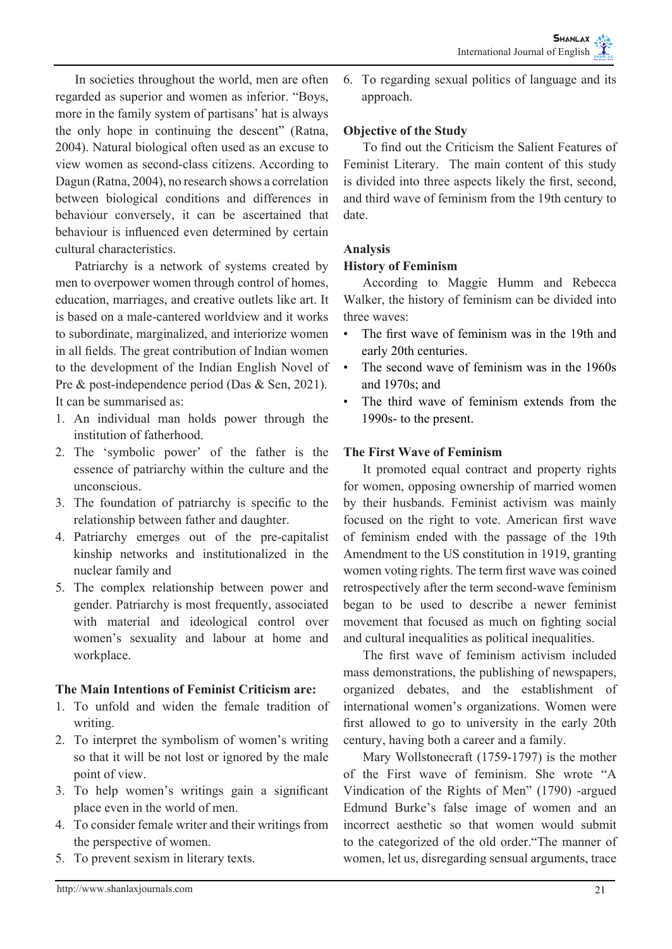In societies throughout the world, men are often regarded as superior and women as inferior. "Boys, more in the family system of partisans' hat is always the only hope in continuing the descent" (Ratna, 2004). Natural biological often used as an excuse to view women as second-class citizens. According to Dagun (Ratna, 2004), no research shows a correlation between biological conditions and differences in behaviour conversely, it can be ascertained that behaviour is influenced even determined by certain cultural characteristics.

Patriarchy is a network of systems created by men to overpower women through control of homes, education, marriages, and creative outlets like art. It is based on a male-cantered worldview and it works to subordinate, marginalized, and interiorize women in all fields. The great contribution of Indian women to the development of the Indian English Novel of Pre & post-independence period (Das & Sen, 2021). It can be summarised as:

- 1. An individual man holds power through the institution of fatherhood.
- 2. The 'symbolic power' of the father is the essence of patriarchy within the culture and the unconscious.
- 3. The foundation of patriarchy is specific to the relationship between father and daughter.
- 4. Patriarchy emerges out of the pre-capitalist kinship networks and institutionalized in the nuclear family and
- 5. The complex relationship between power and gender. Patriarchy is most frequently, associated with material and ideological control over women's sexuality and labour at home and workplace.

## **The Main Intentions of Feminist Criticism are:**

- 1. To unfold and widen the female tradition of writing.
- 2. To interpret the symbolism of women's writing so that it will be not lost or ignored by the male point of view.
- 3. To help women's writings gain a significant place even in the world of men.
- 4. To consider female writer and their writings from the perspective of women.
- 5. To prevent sexism in literary texts.

6. To regarding sexual politics of language and its approach.

# **Objective of the Study**

To find out the Criticism the Salient Features of Feminist Literary. The main content of this study is divided into three aspects likely the first, second, and third wave of feminism from the 19th century to date.

# **Analysis**

# **History of Feminism**

According to Maggie Humm and Rebecca Walker, the history of feminism can be divided into three waves:

- The first wave of feminism was in the 19th and early 20th centuries.
- The second wave of feminism was in the 1960s and 1970s; and
- The third wave of feminism extends from the 1990s- to the present.

# **The First Wave of Feminism**

It promoted equal contract and property rights for women, opposing ownership of married women by their husbands. Feminist activism was mainly focused on the right to vote. American first wave of feminism ended with the passage of the 19th Amendment to the US constitution in 1919, granting women voting rights. The term first wave was coined retrospectively after the term second-wave feminism began to be used to describe a newer feminist movement that focused as much on fighting social and cultural inequalities as political inequalities.

The first wave of feminism activism included mass demonstrations, the publishing of newspapers, organized debates, and the establishment of international women's organizations. Women were first allowed to go to university in the early 20th century, having both a career and a family.

Mary Wollstonecraft (1759-1797) is the mother of the First wave of feminism. She wrote "A Vindication of the Rights of Men" (1790) -argued Edmund Burke's false image of women and an incorrect aesthetic so that women would submit to the categorized of the old order."The manner of women, let us, disregarding sensual arguments, trace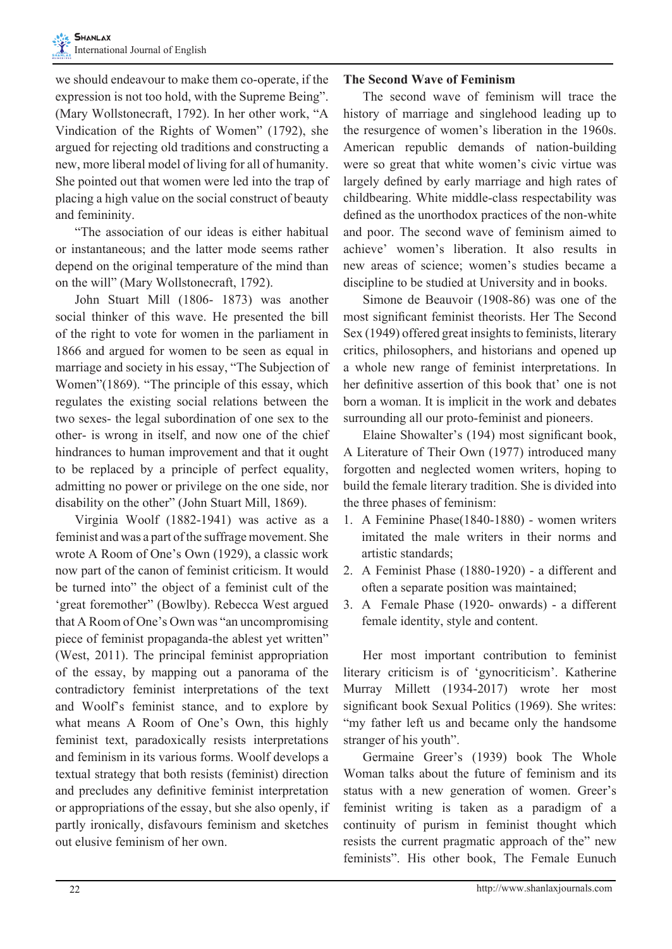we should endeavour to make them co-operate, if the expression is not too hold, with the Supreme Being". (Mary Wollstonecraft, 1792). In her other work, "A Vindication of the Rights of Women" (1792), she argued for rejecting old traditions and constructing a new, more liberal model of living for all of humanity. She pointed out that women were led into the trap of placing a high value on the social construct of beauty and femininity.

"The association of our ideas is either habitual or instantaneous; and the latter mode seems rather depend on the original temperature of the mind than on the will" (Mary Wollstonecraft, 1792).

John Stuart Mill (1806- 1873) was another social thinker of this wave. He presented the bill of the right to vote for women in the parliament in 1866 and argued for women to be seen as equal in marriage and society in his essay, "The Subjection of Women"(1869). "The principle of this essay, which regulates the existing social relations between the two sexes- the legal subordination of one sex to the other- is wrong in itself, and now one of the chief hindrances to human improvement and that it ought to be replaced by a principle of perfect equality, admitting no power or privilege on the one side, nor disability on the other" (John Stuart Mill, 1869).

Virginia Woolf (1882-1941) was active as a feminist and was a part of the suffrage movement. She wrote A Room of One's Own (1929), a classic work now part of the canon of feminist criticism. It would be turned into" the object of a feminist cult of the 'great foremother" (Bowlby). Rebecca West argued that A Room of One's Own was "an uncompromising piece of feminist propaganda-the ablest yet written" (West, 2011). The principal feminist appropriation of the essay, by mapping out a panorama of the contradictory feminist interpretations of the text and Woolf's feminist stance, and to explore by what means A Room of One's Own, this highly feminist text, paradoxically resists interpretations and feminism in its various forms. Woolf develops a textual strategy that both resists (feminist) direction and precludes any definitive feminist interpretation or appropriations of the essay, but she also openly, if partly ironically, disfavours feminism and sketches out elusive feminism of her own.

#### **The Second Wave of Feminism**

The second wave of feminism will trace the history of marriage and singlehood leading up to the resurgence of women's liberation in the 1960s. American republic demands of nation-building were so great that white women's civic virtue was largely defined by early marriage and high rates of childbearing. White middle-class respectability was defined as the unorthodox practices of the non-white and poor. The second wave of feminism aimed to achieve' women's liberation. It also results in new areas of science; women's studies became a discipline to be studied at University and in books.

Simone de Beauvoir (1908-86) was one of the most significant feminist theorists. Her The Second Sex (1949) offered great insights to feminists, literary critics, philosophers, and historians and opened up a whole new range of feminist interpretations. In her definitive assertion of this book that' one is not born a woman. It is implicit in the work and debates surrounding all our proto-feminist and pioneers.

Elaine Showalter's (194) most significant book, A Literature of Their Own (1977) introduced many forgotten and neglected women writers, hoping to build the female literary tradition. She is divided into the three phases of feminism:

- 1. A Feminine Phase(1840-1880) women writers imitated the male writers in their norms and artistic standards;
- 2. A Feminist Phase (1880-1920) a different and often a separate position was maintained;
- 3. A Female Phase (1920- onwards) a different female identity, style and content.

Her most important contribution to feminist literary criticism is of 'gynocriticism'. Katherine Murray Millett (1934-2017) wrote her most significant book Sexual Politics (1969). She writes: "my father left us and became only the handsome stranger of his youth".

Germaine Greer's (1939) book The Whole Woman talks about the future of feminism and its status with a new generation of women. Greer's feminist writing is taken as a paradigm of a continuity of purism in feminist thought which resists the current pragmatic approach of the" new feminists". His other book, The Female Eunuch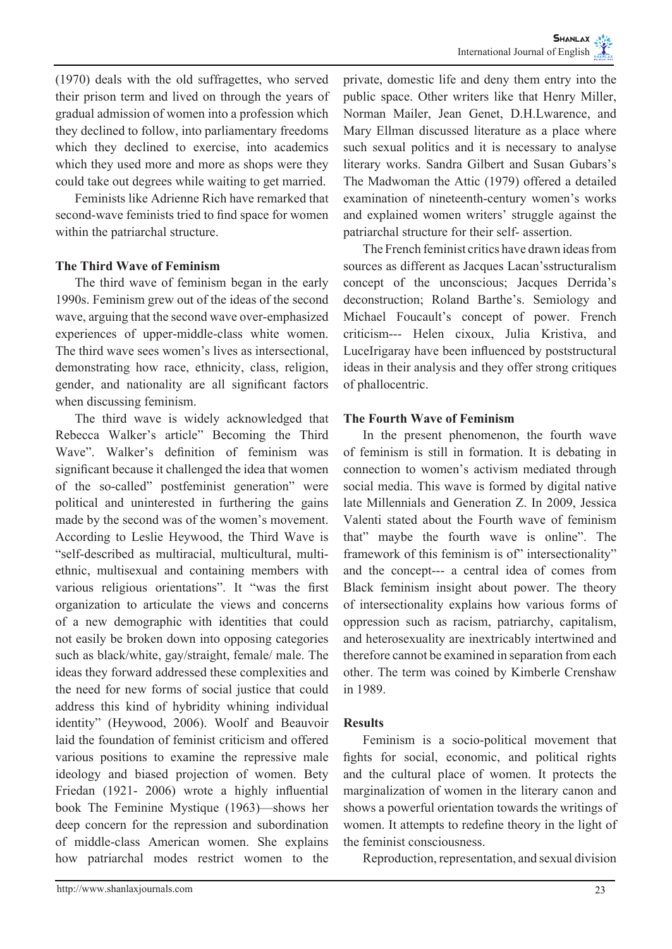(1970) deals with the old suffragettes, who served their prison term and lived on through the years of gradual admission of women into a profession which they declined to follow, into parliamentary freedoms which they declined to exercise, into academics which they used more and more as shops were they could take out degrees while waiting to get married.

Feminists like Adrienne Rich have remarked that second-wave feminists tried to find space for women within the patriarchal structure.

## **The Third Wave of Feminism**

The third wave of feminism began in the early 1990s. Feminism grew out of the ideas of the second wave, arguing that the second wave over-emphasized experiences of upper-middle-class white women. The third wave sees women's lives as intersectional, demonstrating how race, ethnicity, class, religion, gender, and nationality are all significant factors when discussing feminism.

The third wave is widely acknowledged that Rebecca Walker's article" Becoming the Third Wave". Walker's definition of feminism was significant because it challenged the idea that women of the so-called" postfeminist generation" were political and uninterested in furthering the gains made by the second was of the women's movement. According to Leslie Heywood, the Third Wave is "self-described as multiracial, multicultural, multiethnic, multisexual and containing members with various religious orientations". It "was the first organization to articulate the views and concerns of a new demographic with identities that could not easily be broken down into opposing categories such as black/white, gay/straight, female/ male. The ideas they forward addressed these complexities and the need for new forms of social justice that could address this kind of hybridity whining individual identity" (Heywood, 2006). Woolf and Beauvoir laid the foundation of feminist criticism and offered various positions to examine the repressive male ideology and biased projection of women. Bety Friedan (1921- 2006) wrote a highly influential book The Feminine Mystique (1963)—shows her deep concern for the repression and subordination of middle-class American women. She explains how patriarchal modes restrict women to the

private, domestic life and deny them entry into the public space. Other writers like that Henry Miller, Norman Mailer, Jean Genet, D.H.Lwarence, and Mary Ellman discussed literature as a place where such sexual politics and it is necessary to analyse literary works. Sandra Gilbert and Susan Gubars's The Madwoman the Attic (1979) offered a detailed examination of nineteenth-century women's works and explained women writers' struggle against the patriarchal structure for their self- assertion.

The French feminist critics have drawn ideas from sources as different as Jacques Lacan'sstructuralism concept of the unconscious; Jacques Derrida's deconstruction; Roland Barthe's. Semiology and Michael Foucault's concept of power. French criticism--- Helen cixoux, Julia Kristiva, and LuceIrigaray have been influenced by poststructural ideas in their analysis and they offer strong critiques of phallocentric.

## **The Fourth Wave of Feminism**

In the present phenomenon, the fourth wave of feminism is still in formation. It is debating in connection to women's activism mediated through social media. This wave is formed by digital native late Millennials and Generation Z. In 2009, Jessica Valenti stated about the Fourth wave of feminism that" maybe the fourth wave is online". The framework of this feminism is of" intersectionality" and the concept--- a central idea of comes from Black feminism insight about power. The theory of intersectionality explains how various forms of oppression such as racism, patriarchy, capitalism, and heterosexuality are inextricably intertwined and therefore cannot be examined in separation from each other. The term was coined by Kimberle Crenshaw in 1989.

#### **Results**

Feminism is a socio-political movement that fights for social, economic, and political rights and the cultural place of women. It protects the marginalization of women in the literary canon and shows a powerful orientation towards the writings of women. It attempts to redefine theory in the light of the feminist consciousness.

Reproduction, representation, and sexual division